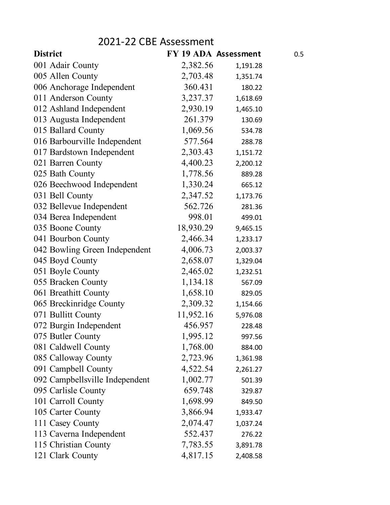## 2021-22 CBE Assessment

| <b>District</b>                | FY 19 ADA Assessment |          | 0.5 |
|--------------------------------|----------------------|----------|-----|
| 001 Adair County               | 2,382.56             | 1,191.28 |     |
| 005 Allen County               | 2,703.48             | 1,351.74 |     |
| 006 Anchorage Independent      | 360.431              | 180.22   |     |
| 011 Anderson County            | 3,237.37             | 1,618.69 |     |
| 012 Ashland Independent        | 2,930.19             | 1,465.10 |     |
| 013 Augusta Independent        | 261.379              | 130.69   |     |
| 015 Ballard County             | 1,069.56             | 534.78   |     |
| 016 Barbourville Independent   | 577.564              | 288.78   |     |
| 017 Bardstown Independent      | 2,303.43             | 1,151.72 |     |
| 021 Barren County              | 4,400.23             | 2,200.12 |     |
| 025 Bath County                | 1,778.56             | 889.28   |     |
| 026 Beechwood Independent      | 1,330.24             | 665.12   |     |
| 031 Bell County                | 2,347.52             | 1,173.76 |     |
| 032 Bellevue Independent       | 562.726              | 281.36   |     |
| 034 Berea Independent          | 998.01               | 499.01   |     |
| 035 Boone County               | 18,930.29            | 9,465.15 |     |
| 041 Bourbon County             | 2,466.34             | 1,233.17 |     |
| 042 Bowling Green Independent  | 4,006.73             | 2,003.37 |     |
| 045 Boyd County                | 2,658.07             | 1,329.04 |     |
| 051 Boyle County               | 2,465.02             | 1,232.51 |     |
| 055 Bracken County             | 1,134.18             | 567.09   |     |
| 061 Breathitt County           | 1,658.10             | 829.05   |     |
| 065 Breckinridge County        | 2,309.32             | 1,154.66 |     |
| 071 Bullitt County             | 11,952.16            | 5,976.08 |     |
| 072 Burgin Independent         | 456.957              | 228.48   |     |
| 075 Butler County              | 1,995.12             | 997.56   |     |
| 081 Caldwell County            | 1,768.00             | 884.00   |     |
| 085 Calloway County            | 2,723.96             | 1,361.98 |     |
| 091 Campbell County            | 4,522.54             | 2,261.27 |     |
| 092 Campbellsville Independent | 1,002.77             | 501.39   |     |
| 095 Carlisle County            | 659.748              | 329.87   |     |
| 101 Carroll County             | 1,698.99             | 849.50   |     |
| 105 Carter County              | 3,866.94             | 1,933.47 |     |
| 111 Casey County               | 2,074.47             | 1,037.24 |     |
| 113 Caverna Independent        | 552.437              | 276.22   |     |
| 115 Christian County           | 7,783.55             | 3,891.78 |     |
| 121 Clark County               | 4,817.15             | 2,408.58 |     |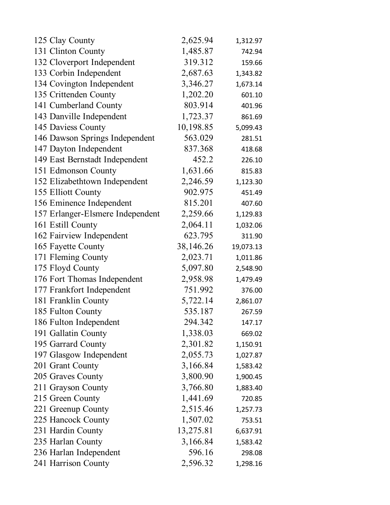| 125 Clay County                  | 2,625.94  | 1,312.97  |
|----------------------------------|-----------|-----------|
| 131 Clinton County               | 1,485.87  | 742.94    |
| 132 Cloverport Independent       | 319.312   | 159.66    |
| 133 Corbin Independent           | 2,687.63  | 1,343.82  |
| 134 Covington Independent        | 3,346.27  | 1,673.14  |
| 135 Crittenden County            | 1,202.20  | 601.10    |
| 141 Cumberland County            | 803.914   | 401.96    |
| 143 Danville Independent         | 1,723.37  | 861.69    |
| 145 Daviess County               | 10,198.85 | 5,099.43  |
| 146 Dawson Springs Independent   | 563.029   | 281.51    |
| 147 Dayton Independent           | 837.368   | 418.68    |
| 149 East Bernstadt Independent   | 452.2     | 226.10    |
| 151 Edmonson County              | 1,631.66  | 815.83    |
| 152 Elizabethtown Independent    | 2,246.59  | 1,123.30  |
| 155 Elliott County               | 902.975   | 451.49    |
| 156 Eminence Independent         | 815.201   | 407.60    |
| 157 Erlanger-Elsmere Independent | 2,259.66  | 1,129.83  |
| 161 Estill County                | 2,064.11  | 1,032.06  |
| 162 Fairview Independent         | 623.795   | 311.90    |
| 165 Fayette County               | 38,146.26 | 19,073.13 |
| 171 Fleming County               | 2,023.71  | 1,011.86  |
| 175 Floyd County                 | 5,097.80  | 2,548.90  |
| 176 Fort Thomas Independent      | 2,958.98  | 1,479.49  |
| 177 Frankfort Independent        | 751.992   | 376.00    |
| 181 Franklin County              | 5,722.14  | 2,861.07  |
| 185 Fulton County                | 535.187   | 267.59    |
| 186 Fulton Independent           | 294.342   | 147.17    |
| 191 Gallatin County              | 1,338.03  | 669.02    |
| 195 Garrard County               | 2,301.82  | 1,150.91  |
| 197 Glasgow Independent          | 2,055.73  | 1,027.87  |
| 201 Grant County                 | 3,166.84  | 1,583.42  |
| 205 Graves County                | 3,800.90  | 1,900.45  |
| 211 Grayson County               | 3,766.80  | 1,883.40  |
| 215 Green County                 | 1,441.69  | 720.85    |
| 221 Greenup County               | 2,515.46  | 1,257.73  |
| 225 Hancock County               | 1,507.02  | 753.51    |
| 231 Hardin County                | 13,275.81 | 6,637.91  |
| 235 Harlan County                | 3,166.84  | 1,583.42  |
| 236 Harlan Independent           | 596.16    | 298.08    |
| 241 Harrison County              | 2,596.32  | 1,298.16  |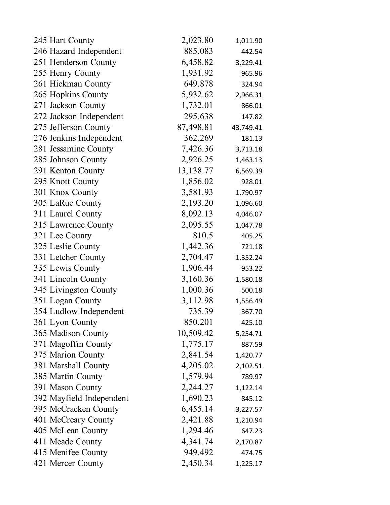| 245 Hart County          | 2,023.80    | 1,011.90  |
|--------------------------|-------------|-----------|
| 246 Hazard Independent   | 885.083     | 442.54    |
| 251 Henderson County     | 6,458.82    | 3,229.41  |
| 255 Henry County         | 1,931.92    | 965.96    |
| 261 Hickman County       | 649.878     | 324.94    |
| 265 Hopkins County       | 5,932.62    | 2,966.31  |
| 271 Jackson County       | 1,732.01    | 866.01    |
| 272 Jackson Independent  | 295.638     | 147.82    |
| 275 Jefferson County     | 87,498.81   | 43,749.41 |
| 276 Jenkins Independent  | 362.269     | 181.13    |
| 281 Jessamine County     | 7,426.36    | 3,713.18  |
| 285 Johnson County       | 2,926.25    | 1,463.13  |
| 291 Kenton County        | 13, 138. 77 | 6,569.39  |
| 295 Knott County         | 1,856.02    | 928.01    |
| 301 Knox County          | 3,581.93    | 1,790.97  |
| 305 LaRue County         | 2,193.20    | 1,096.60  |
| 311 Laurel County        | 8,092.13    | 4,046.07  |
| 315 Lawrence County      | 2,095.55    | 1,047.78  |
| 321 Lee County           | 810.5       | 405.25    |
| 325 Leslie County        | 1,442.36    | 721.18    |
| 331 Letcher County       | 2,704.47    | 1,352.24  |
| 335 Lewis County         | 1,906.44    | 953.22    |
| 341 Lincoln County       | 3,160.36    | 1,580.18  |
| 345 Livingston County    | 1,000.36    | 500.18    |
| 351 Logan County         | 3,112.98    | 1,556.49  |
| 354 Ludlow Independent   | 735.39      | 367.70    |
| 361 Lyon County          | 850.201     | 425.10    |
| 365 Madison County       | 10,509.42   | 5,254.71  |
| 371 Magoffin County      | 1,775.17    | 887.59    |
| 375 Marion County        | 2,841.54    | 1,420.77  |
| 381 Marshall County      | 4,205.02    | 2,102.51  |
| 385 Martin County        | 1,579.94    | 789.97    |
| 391 Mason County         | 2,244.27    | 1,122.14  |
| 392 Mayfield Independent | 1,690.23    | 845.12    |
| 395 McCracken County     | 6,455.14    | 3,227.57  |
| 401 McCreary County      | 2,421.88    | 1,210.94  |
| 405 McLean County        | 1,294.46    | 647.23    |
| 411 Meade County         | 4,341.74    | 2,170.87  |
| 415 Menifee County       | 949.492     | 474.75    |
| 421 Mercer County        | 2,450.34    | 1,225.17  |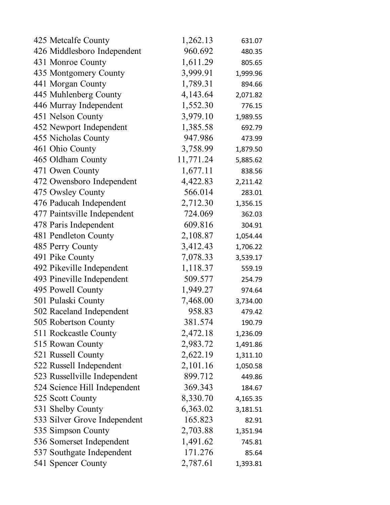| 425 Metcalfe County          | 1,262.13  | 631.07   |
|------------------------------|-----------|----------|
| 426 Middlesboro Independent  | 960.692   | 480.35   |
| 431 Monroe County            | 1,611.29  | 805.65   |
| 435 Montgomery County        | 3,999.91  | 1,999.96 |
| 441 Morgan County            | 1,789.31  | 894.66   |
| 445 Muhlenberg County        | 4,143.64  | 2,071.82 |
| 446 Murray Independent       | 1,552.30  | 776.15   |
| 451 Nelson County            | 3,979.10  | 1,989.55 |
| 452 Newport Independent      | 1,385.58  | 692.79   |
| 455 Nicholas County          | 947.986   | 473.99   |
| 461 Ohio County              | 3,758.99  | 1,879.50 |
| 465 Oldham County            | 11,771.24 | 5,885.62 |
| 471 Owen County              | 1,677.11  | 838.56   |
| 472 Owensboro Independent    | 4,422.83  | 2,211.42 |
| 475 Owsley County            | 566.014   | 283.01   |
| 476 Paducah Independent      | 2,712.30  | 1,356.15 |
| 477 Paintsville Independent  | 724.069   | 362.03   |
| 478 Paris Independent        | 609.816   | 304.91   |
| 481 Pendleton County         | 2,108.87  | 1,054.44 |
| 485 Perry County             | 3,412.43  | 1,706.22 |
| 491 Pike County              | 7,078.33  | 3,539.17 |
| 492 Pikeville Independent    | 1,118.37  | 559.19   |
| 493 Pineville Independent    | 509.577   | 254.79   |
| 495 Powell County            | 1,949.27  | 974.64   |
| 501 Pulaski County           | 7,468.00  | 3,734.00 |
| 502 Raceland Independent     | 958.83    | 479.42   |
| 505 Robertson County         | 381.574   | 190.79   |
| 511 Rockcastle County        | 2,472.18  | 1,236.09 |
| 515 Rowan County             | 2,983.72  | 1,491.86 |
| 521 Russell County           | 2,622.19  | 1,311.10 |
| 522 Russell Independent      | 2,101.16  | 1,050.58 |
| 523 Russellville Independent | 899.712   | 449.86   |
| 524 Science Hill Independent | 369.343   | 184.67   |
| 525 Scott County             | 8,330.70  | 4,165.35 |
| 531 Shelby County            | 6,363.02  | 3,181.51 |
| 533 Silver Grove Independent | 165.823   | 82.91    |
| 535 Simpson County           | 2,703.88  | 1,351.94 |
| 536 Somerset Independent     | 1,491.62  | 745.81   |
| 537 Southgate Independent    | 171.276   | 85.64    |
| 541 Spencer County           | 2,787.61  | 1,393.81 |